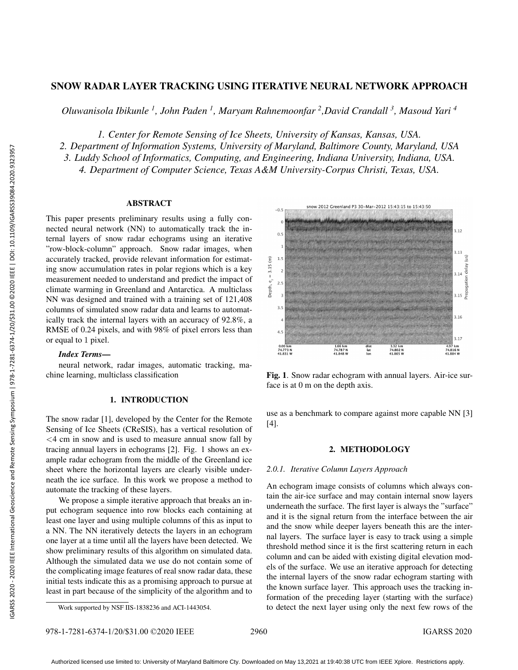# SNOW RADAR LAYER TRACKING USING ITERATIVE NEURAL NETWORK APPROACH

*Oluwanisola Ibikunle <sup>1</sup> , John Paden <sup>1</sup> , Maryam Rahnemoonfar <sup>2</sup> ,David Crandall <sup>3</sup> , Masoud Yari <sup>4</sup>*

*1. Center for Remote Sensing of Ice Sheets, University of Kansas, Kansas, USA.*

*2. Department of Information Systems, University of Maryland, Baltimore County, Maryland, USA*

*3. Luddy School of Informatics, Computing, and Engineering, Indiana University, Indiana, USA.*

*4. Department of Computer Science, Texas A&M University-Corpus Christi, Texas, USA.*

### ABSTRACT

This paper presents preliminary results using a fully connected neural network (NN) to automatically track the internal layers of snow radar echograms using an iterative "row-block-column" approach. Snow radar images, when accurately tracked, provide relevant information for estimating snow accumulation rates in polar regions which is a key measurement needed to understand and predict the impact of climate warming in Greenland and Antarctica. A multiclass NN was designed and trained with a training set of 121,408 columns of simulated snow radar data and learns to automatically track the internal layers with an accuracy of 92.8%, a RMSE of 0.24 pixels, and with 98% of pixel errors less than or equal to 1 pixel.

## *Index Terms*—

neural network, radar images, automatic tracking, machine learning, multiclass classification

## 1. INTRODUCTION

The snow radar [1], developed by the Center for the Remote Sensing of Ice Sheets (CReSIS), has a vertical resolution of  $\leq$  4 cm in snow and is used to measure annual snow fall by tracing annual layers in echograms [2]. Fig. 1 shows an example radar echogram from the middle of the Greenland ice sheet where the horizontal layers are clearly visible underneath the ice surface. In this work we propose a method to automate the tracking of these layers.

We propose a simple iterative approach that breaks an input echogram sequence into row blocks each containing at least one layer and using multiple columns of this as input to a NN. The NN iteratively detects the layers in an echogram one layer at a time until all the layers have been detected. We show preliminary results of this algorithm on simulated data. Although the simulated data we use do not contain some of the complicating image features of real snow radar data, these initial tests indicate this as a promising approach to pursue at least in part because of the simplicity of the algorithm and to



Fig. 1. Snow radar echogram with annual layers. Air-ice surface is at 0 m on the depth axis.

use as a benchmark to compare against more capable NN [3] [4].

## 2. METHODOLOGY

## *2.0.1. Iterative Column Layers Approach*

An echogram image consists of columns which always contain the air-ice surface and may contain internal snow layers underneath the surface. The first layer is always the "surface" and it is the signal return from the interface between the air and the snow while deeper layers beneath this are the internal layers. The surface layer is easy to track using a simple threshold method since it is the first scattering return in each column and can be aided with existing digital elevation models of the surface. We use an iterative approach for detecting the internal layers of the snow radar echogram starting with the known surface layer. This approach uses the tracking information of the preceding layer (starting with the surface) to detect the next layer using only the next few rows of the

Work supported by NSF IIS-1838236 and ACI-1443054.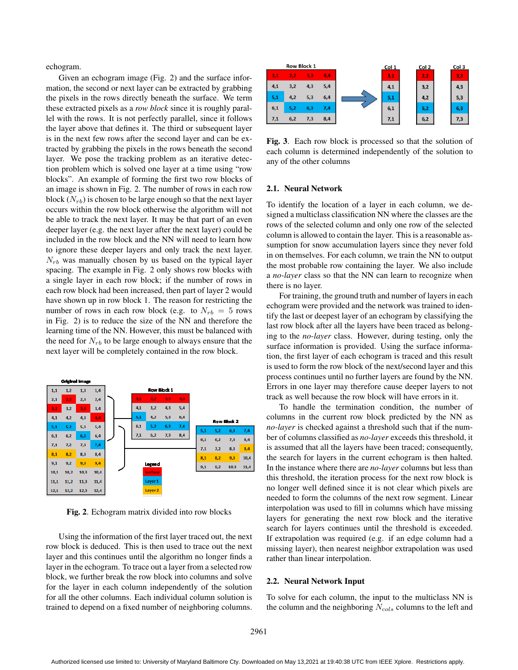echogram.

Given an echogram image (Fig. 2) and the surface information, the second or next layer can be extracted by grabbing the pixels in the rows directly beneath the surface. We term these extracted pixels as a *row block* since it is roughly parallel with the rows. It is not perfectly parallel, since it follows the layer above that defines it. The third or subsequent layer is in the next few rows after the second layer and can be extracted by grabbing the pixels in the rows beneath the second layer. We pose the tracking problem as an iterative detection problem which is solved one layer at a time using "row blocks". An example of forming the first two row blocks of an image is shown in Fig. 2. The number of rows in each row block  $(N_{rb})$  is chosen to be large enough so that the next layer occurs within the row block otherwise the algorithm will not be able to track the next layer. It may be that part of an even deeper layer (e.g. the next layer after the next layer) could be included in the row block and the NN will need to learn how to ignore these deeper layers and only track the next layer.  $N_{rb}$  was manually chosen by us based on the typical layer spacing. The example in Fig. 2 only shows row blocks with a single layer in each row block; if the number of rows in each row block had been increased, then part of layer 2 would have shown up in row block 1. The reason for restricting the number of rows in each row block (e.g. to  $N_{rb} = 5$  rows in Fig. 2) is to reduce the size of the NN and therefore the learning time of the NN. However, this must be balanced with the need for  $N_{rb}$  to be large enough to always ensure that the next layer will be completely contained in the row block.



Fig. 2. Echogram matrix divided into row blocks

Using the information of the first layer traced out, the next row block is deduced. This is then used to trace out the next layer and this continues until the algorithm no longer finds a layer in the echogram. To trace out a layer from a selected row block, we further break the row block into columns and solve for the layer in each column independently of the solution for all the other columns. Each individual column solution is trained to depend on a fixed number of neighboring columns.



Fig. 3. Each row block is processed so that the solution of each column is determined independently of the solution to any of the other columns

#### 2.1. Neural Network

To identify the location of a layer in each column, we designed a multiclass classification NN where the classes are the rows of the selected column and only one row of the selected column is allowed to contain the layer. This is a reasonable assumption for snow accumulation layers since they never fold in on themselves. For each column, we train the NN to output the most probable row containing the layer. We also include a *no-layer* class so that the NN can learn to recognize when there is no layer.

For training, the ground truth and number of layers in each echogram were provided and the network was trained to identify the last or deepest layer of an echogram by classifying the last row block after all the layers have been traced as belonging to the *no-layer* class. However, during testing, only the surface information is provided. Using the surface information, the first layer of each echogram is traced and this result is used to form the row block of the next/second layer and this process continues until no further layers are found by the NN. Errors in one layer may therefore cause deeper layers to not track as well because the row block will have errors in it.

To handle the termination condition, the number of columns in the current row block predicted by the NN as *no-layer* is checked against a threshold such that if the number of columns classified as *no-layer* exceeds this threshold, it is assumed that all the layers have been traced; consequently, the search for layers in the current echogram is then halted. In the instance where there are *no-layer* columns but less than this threshold, the iteration process for the next row block is no longer well defined since it is not clear which pixels are needed to form the columns of the next row segment. Linear interpolation was used to fill in columns which have missing layers for generating the next row block and the iterative search for layers continues until the threshold is exceeded. If extrapolation was required (e.g. if an edge column had a missing layer), then nearest neighbor extrapolation was used rather than linear interpolation.

#### 2.2. Neural Network Input

To solve for each column, the input to the multiclass NN is the column and the neighboring  $N_{\text{cols}}$  columns to the left and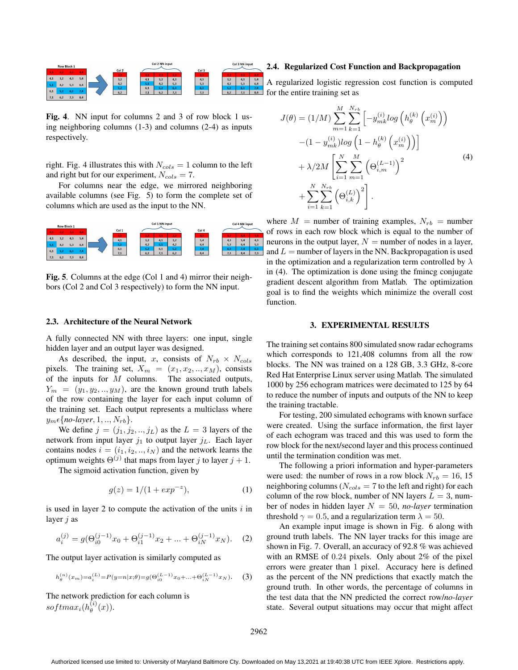

Fig. 4. NN input for columns 2 and 3 of row block 1 using neighboring columns (1-3) and columns (2-4) as inputs respectively.

right. Fig. 4 illustrates this with  $N_{\text{cols}} = 1$  column to the left and right but for our experiment,  $N_{cols} = 7$ .

For columns near the edge, we mirrored neighboring available columns (see Fig. 5) to form the complete set of columns which are used as the input to the NN.



Fig. 5. Columns at the edge (Col 1 and 4) mirror their neighbors (Col 2 and Col 3 respectively) to form the NN input.

### 2.3. Architecture of the Neural Network

A fully connected NN with three layers: one input, single hidden layer and an output layer was designed.

As described, the input, x, consists of  $N_{rb} \times N_{cols}$ pixels. The training set,  $X_m = (x_1, x_2, \ldots, x_M)$ , consists of the inputs for  $\overline{M}$  columns. The associated outputs,  $Y_m = (y_1, y_2, \ldots, y_M)$ , are the known ground truth labels of the row containing the layer for each input column of the training set. Each output represents a multiclass where  $y_m \in \{no\text{-}layer, 1, ..., N_{rb}\}.$ 

We define  $j = (j_1, j_2, \ldots, j_L)$  as the  $L = 3$  layers of the network from input layer  $j_1$  to output layer  $j_L$ . Each layer contains nodes  $i = (i_1, i_2, \dots, i_N)$  and the network learns the optimum weights  $\Theta^{(j)}$  that maps from layer j to layer  $j + 1$ .

The sigmoid activation function, given by

$$
g(z) = 1/(1 + exp^{-z}),
$$
 (1)

is used in layer 2 to compute the activation of the units  $i$  in layer j as

$$
a_i^{(j)} = g(\Theta_{i0}^{(j-1)}x_0 + \Theta_{i1}^{(j-1)}x_2 + \dots + \Theta_{iN}^{(j-1)}x_N).
$$
 (2)

The output layer activation is similarly computed as

$$
h_{\theta}^{(n)}(x_m) = a_i^{(L)} = P(y=n|x;\theta) = g(\Theta_{i0}^{(L-1)}x_0 + \dots + \Theta_{iN}^{(L-1)}x_N). \tag{3}
$$

The network prediction for each column is  $softmax_i(h_\theta^{(i)}$  $\overset{\leftarrow}{\theta}^{(\iota)}(x)).$ 

### 2.4. Regularized Cost Function and Backpropagation

A regularized logistic regression cost function is computed  $\frac{5.2}{6.2}$   $\frac{6.3}{7.3}$   $\frac{7.4}{8.4}$  for the entire training set as

$$
J(\theta) = (1/M) \sum_{m=1}^{M} \sum_{k=1}^{N_{rb}} \left[ -y_{mk}^{(i)} \log \left( h_{\theta}^{(k)} \left( x_{m}^{(i)} \right) \right) - (1 - y_{mk}^{(i)}) \log \left( 1 - h_{\theta}^{(k)} \left( x_{m}^{(i)} \right) \right) \right] + \lambda/2M \left[ \sum_{i=1}^{N} \sum_{m=1}^{M} \left( \Theta_{i,m}^{(L-1)} \right)^{2} + \sum_{i=1}^{N} \sum_{k=1}^{N_{rb}} \left( \Theta_{i,k}^{(L)} \right)^{2} \right].
$$
\n(4)

where  $M =$  number of training examples,  $N_{rb} =$  number of rows in each row block which is equal to the number of neurons in the output layer,  $N =$  number of nodes in a layer, and  $L =$  number of layers in the NN. Backpropagation is used in the optimization and a regularization term controlled by  $\lambda$ in (4). The optimization is done using the fmincg conjugate gradient descent algorithm from Matlab. The optimization goal is to find the weights which minimize the overall cost function.

#### 3. EXPERIMENTAL RESULTS

The training set contains 800 simulated snow radar echograms which corresponds to 121,408 columns from all the row blocks. The NN was trained on a 128 GB, 3.3 GHz, 8-core Red Hat Enterprise Linux server using Matlab. The simulated 1000 by 256 echogram matrices were decimated to 125 by 64 to reduce the number of inputs and outputs of the NN to keep the training tractable.

For testing, 200 simulated echograms with known surface were created. Using the surface information, the first layer of each echogram was traced and this was used to form the row block for the next/second layer and this process continued until the termination condition was met.

The following a priori information and hyper-parameters were used: the number of rows in a row block  $N_{rb} = 16, 15$ neighboring columns ( $N_{cols} = 7$  to the left and right) for each column of the row block, number of NN layers  $L = 3$ , number of nodes in hidden layer  $N = 50$ , *no-layer* termination threshold  $\gamma = 0.5$ , and a regularization term  $\lambda = 50$ .

An example input image is shown in Fig. 6 along with ground truth labels. The NN layer tracks for this image are shown in Fig. 7. Overall, an accuracy of 92.8 % was achieved with an RMSE of 0.24 pixels. Only about 2% of the pixel errors were greater than 1 pixel. Accuracy here is defined as the percent of the NN predictions that exactly match the ground truth. In other words, the percentage of columns in the test data that the NN predicted the correct row/*no-layer* state. Several output situations may occur that might affect